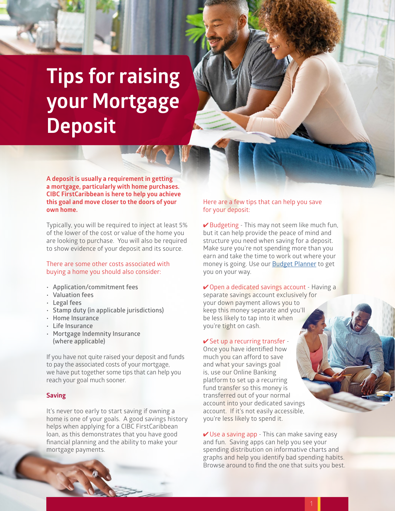# **Tips for raising your Mortgage Deposit**

**A deposit is usually a requirement in getting a mortgage, particularly with home purchases. CIBC FirstCaribbean is here to help you achieve this goal and move closer to the doors of your own home.** 

Typically, you will be required to inject at least 5% of the lower of the cost or value of the home you are looking to purchase. You will also be required to show evidence of your deposit and its source.

There are some other costs associated with buying a home you should also consider:

- **• Application/commitment fees**
- **• Valuation fees**
- **• Legal fees**
- **• Stamp duty (in applicable jurisdictions)**
- **• Home Insurance**
- **• Life Insurance**
- **• Mortgage Indemnity Insurance (where applicable)**

If you have not quite raised your deposit and funds to pay the associated costs of your mortgage, we have put together some tips that can help you reach your goal much sooner.

# **Saving**

It's never too early to start saving if owning a home is one of your goals. A good savings history helps when applying for a CIBC FirstCaribbean loan, as this demonstrates that you have good financial planning and the ability to make your mortgage payments.

# Here are a few tips that can help you save for your deposit:

✔ Budgeting - This may not seem like much fun, but it can help provide the peace of mind and structure you need when saving for a deposit. Make sure you're not spending more than you earn and take the time to work out where your money is going. Use our [Budget Planner](https://www.cibcfcib.com/binaries/content/assets/personal-banking/borrowing/cibcfcib-budget-planner.pdf) to get you on your way.

**✓ Open a dedicated savings account - Having a** separate savings account exclusively for your down payment allows you to keep this money separate and you'll be less likely to tap into it when you're tight on cash.

#### ✔ Set up a recurring transfer -

Once you have identified how much you can afford to save and what your savings goal is, use our Online Banking platform to set up a recurring fund transfer so this money is transferred out of your normal account into your dedicated savings account. If it's not easily accessible, you're less likely to spend it.

 $\vee$  Use a saving app - This can make saving easy and fun. Saving apps can help you see your spending distribution on informative charts and graphs and help you identify bad spending habits. Browse around to find the one that suits you best.